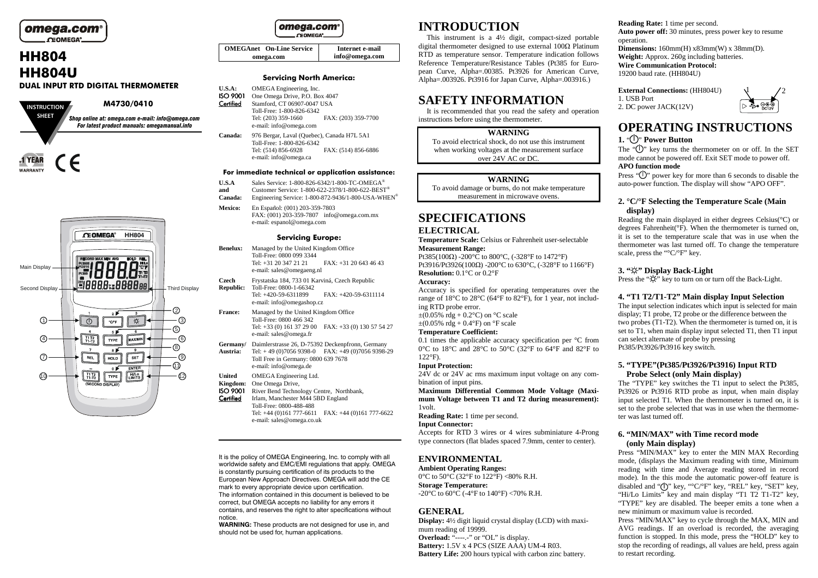# omega.com  $CEDMEGA<sup>o</sup>$

# **HH804 HH804U**

#### **DUAL INPUT RTD DIGITAL THERMOMETER**





## omega.com CHOMEGA<sup>®</sup>

**OMEGAnet On-Line Serviceomega.comInternet e-mail info@omega.com**

#### **Servicing North America:**

- **U.S.A:** OMEGA Engineering, Inc.<br>**ISO 9001** One Omega Drive, P.O. Bo
- **ISO 9001** One Omega Drive, P.O. Box 4047 Certified Stamford, CT 06907-0047 USA Toll-Free: 1-800-826-6342 Tel: (203) 359-1660 FAX: (203) 359-7700e-mail: info@omega.com

**Canada:** 976 Bergar, Laval (Quebec), Canada H7L 5A1 Toll-Free: 1-800-826-6342 Tel: (514) 856-6928 FAX: (514) 856-6886 e-mail: info@omega.ca

### **For immediate technical or application assistance:**

- **U.S.A** Sales Service: 1-800-826-6342/1-800-TC-OMEGA®
- **and** Customer Service: 1-800-622-2378/1-800-622-BEST® **Canada:** Engineering Service: 1-800-872-9436/1-800-USA-WHEN®
- **Mexico:** En Español: (001) 203-359-7803
- FAX: (001) 203-359-7807 info@omega.com.mx e-mail: espanol@omega.com

#### **Servicing Europe:**

- **Benelux:** Managed by the United Kingdom Office Toll-Free: 0800 099 3344 Tel: +31 20 347 21 21 FAX: +31 20 643 46 43 e-mail: sales@omegaeng.nl
- **Czech** Frystatska 184, 733 01 Karviná, Czech Republic Toll-Free: 0800-1-66342<br>Tel: +420-59-6311899
	- Tel: +420-59-6311899 FAX: +420-59-6311114 e-mail: info@omegashop.cz
- **France:** Managed by the United Kingdom Office Toll-Free: 0800 466 342 Tel: +33 (0) 161 37 29 00 FAX: +33 (0) 130 57 54 27 e-mail: sales@omega.fr
- **Germany/** Daimlerstrasse 26, D-75392 Deckenpfronn, Germany
- **Austria:** Tel: + 49 (0)7056 9398-0 FAX: +49 (0)7056 9398-29 Toll Free in Germany: 0800 639 7678 e-mail: info@omega.de
- **United** OMEGA Engineering Ltd.
- **Kingdom:** One Omega Drive,
- ISO 9001 River Bend Technology Centre, Northbank,
- Certified Irlam, Manchester M44 5BD England Toll-Free: 0800-488-488 Tel: +44 (0)161 777-6611 FAX: +44 (0)161 777-6622 e-mail: sales@omega.co.uk

It is the policy of OMEGA Engineering, Inc. to comply with all worldwide safety and EMC/EMI regulations that apply. OMEGA is constantly pursuing certification of its products to the European New Approach Directives. OMEGA will add the CE mark to every appropriate device upon certification. The information contained in this document is believed to be correct, but OMEGA accepts no liability for any errors it contains, and reserves the right to alter specifications without notice.

 **WARNING:** These products are not designed for use in, and should not be used for, human applications.

# **INTRODUCTION**

 This instrument is a 4½ digit, compact-sized portable digital thermometer designed to use external 100Ω Platinum RTD as temperature sensor. Temperature indication follows Reference Temperature/Resistance Tables (Pt385 for European Curve, Alpha=.00385. Pt3926 for American Curve, Alpha=.003926. Pt3916 for Japan Curve, Alpha=.003916.)

# **SAFETY INFORMATION**

 It is recommended that you read the safety and operation instructions before using the thermometer.

#### **WARNING**

 To avoid electrical shock, do not use this instrument when working voltages at the measurement surface over 24V AC or DC.

#### **WARNING**

 To avoid damage or burns, do not make temperature measurement in microwave ovens.

# **SPECIFICATIONS**

## **ELECTRICAL**

 **Temperature Scale:** Celsius or Fahrenheit user-selectable**Measurement Range:** 

 Pt385(100Ω) -200°C to 800°C, (-328°F to 1472°F) Pt3916/Pt3926(100Ω) -200°C to 630°C, (-328°F to 1166°F) **Resolution:** 0.1°C or 0.2°F

#### **Accuracy:**

 Accuracy is specified for operating temperatures over the range of 18°C to 28°C (64°F to 82°F), for 1 year, not including RTD probe error.

 $\pm (0.05\% \text{ rdg} + 0.2\degree \text{C})$  on  $\degree \text{C}$  scale  $\pm (0.05\% \text{ rdg} + 0.4\degree \text{F})$  on  $\degree \text{F scale}$ 

#### **Temperature Coefficient:**

 0.1 times the applicable accuracy specification per °C from 0°C to 18°C and 28°C to 50°C (32°F to 64°F and 82°F to 122°F).

### **Input Protection:**

 24V dc or 24V ac rms maximum input voltage on any combination of input pins.

 **Maximum Differential Common Mode Voltage (Maximum Voltage between T1 and T2 during measurement):** 1volt.

**Reading Rate:** 1 time per second.

### **Input Connector:**

 Accepts for RTD 3 wires or 4 wires subminiature 4-Prong type connectors (flat blades spaced 7.9mm, center to center).

# **ENVIRONMENTAL**

 **Ambient Operating Ranges:** 0 $^{\circ}$ C to 50 $^{\circ}$ C (32 $^{\circ}$ F to 122 $^{\circ}$ F) <80% R.H. **Storage Temperature:** -20 $^{\circ}$ C to 60 $^{\circ}$ C (-4 $^{\circ}$ F to 140 $^{\circ}$ F) <70% R.H.

# **GENERAL**

 **Display:** 4½ digit liquid crystal display (LCD) with maximum reading of 19999. **Overload:** "----.-" or "OL" is display. **Battery:** 1.5V x 4 PCS (SIZE AAA) UM-4 R03. **Battery Life:** 200 hours typical with carbon zinc battery.

# **Reading Rate:** 1 time per second.

 **Auto power off:** 30 minutes, press power key to resume operation.

 **Dimensions:** 160mm(H) x83mm(W) x 38mm(D). **Weight:** Approx. 260g including batteries. **Wire Communication Protocol:** 19200 baud rate. (HH804U)

**External Connections:** (HH804U)1. USB Port 2. DC power JACK(12V)



# **OPERATING INSTRUCTIONS**

# **1.** " " **Power Button**

The " $\bigcup$ " key turns the thermometer on or off. In the SET mode cannot be powered off. Exit SET mode to power off. **APO function mode** 

Press  $\sqrt{\mathbf{y}}$  power key for more than 6 seconds to disable the auto-power function. The display will show "APO OFF".

## **2. °C/°F Selecting the Temperature Scale (Main display)**

 Reading the main displayed in either degrees Celsius(°C) or degrees Fahrenheit(°F). When the thermometer is turned on, it is set to the temperature scale that was in use when the thermometer was last turned off. To change the temperature scale, press the "°C/°F" key.

# **3. " " Display Back-Light**

Press the "R" key to turn on or turn off the Back-Light.

# **4. "T1 T2/T1-T2" Main display Input Selection**

 The input selection indicates which input is selected for main display; T1 probe, T2 probe or the difference between the two probes (T1-T2). When the thermometer is turned on, it is set to T1, when main display input selected T1, then T1 input can select alternate of probe by pressing Pt385/Pt3926/Pt3916 key switch.

## **5. "TYPE"(Pt385/Pt3926/Pt3916) Input RTD Probe Select (only Main display)**

 The "TYPE" key switches the T1 input to select the Pt385, Pt3926 or Pt3916 RTD probe as input, when main display input selected T1. When the thermometer is turned on, it is set to the probe selected that was in use when the thermometer was last turned off.

## **6. "MIN/MAX" with Time record mode (only Main display)**

 Press "MIN/MAX" key to enter the MIN MAX Recording mode, (displays the Maximum reading with time, Minimum reading with time and Average reading stored in record mode). In the this mode the automatic power-off feature is disabled and " $\bigcirc$ " key, "°C/°F" key, "REL" key, "SET" key, "Hi/Lo Limits" key and main display "T1 T2 T1-T2" key, "TYPE" key are disabled. The beeper emits a tone when a new minimum or maximum value is recorded.

 Press "MIN/MAX" key to cycle through the MAX, MIN and AVG readings. If an overload is recorded, the averaging function is stopped. In this mode, press the "HOLD" key to stop the recording of readings, all values are held, press again to restart recording.